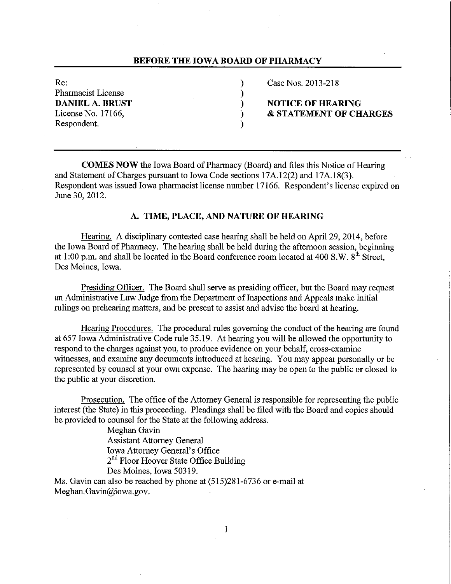## **BEFORE THE IOWA BOARD OF PHARMACY**

Pharmacist License (1998)<br>DANIEL A. BRUST (1999) Respondent.

Re: (a) Case Nos. 2013-218

**DANCIFY IS A PART IN ORDER IN STREET ASSESS** License No. 17166, **8 STATEMENT OF CHARGES** 

**COMES NOW** the Iowa Board of Pharmacy (Board) and files this Notice of Hearing and Statement of Charges pursuant to Iowa Code sections 17A.12(2) and 17A.18(3). Respondent was issued Iowa pharmacist license number 17166. Respondent's license expired on June 30, 2012.

# **A. TIME, PLACE, AND NATURE OF HEARING**

Hearing. A disciplinary contested case hearing shall be held on April 29, 2014, before the Iowa Board of Pharmacy. The hearing shall be held during the afternoon session, beginning at 1:00 p.m. and shall be located in the Board conference room located at 400 S.W.  $8<sup>th</sup>$  Street, Des Moines, Iowa.

Presiding Officer. The Board shall serve as presiding officer, but the Board may request an Administrative Law Judge from the Department of Inspections and Appeals make initial rulings on prehearing matters, and be present to assist and advise the board at hearing.

Hearing Procedures. The procedural rules governing the conduct of the hearing are found at 657 Iowa Administrative Code rule 35.19. At hearing you will be allowed the opportunity to respond to the charges against you, to produce evidence on your behalf, cross-examine witnesses, and examine any documents introduced at hearing. You may appear personally or be represented by counsel at your own expense. The hearing may be open to the public or closed to the public at your discretion.

Prosecution. The office of the Attorney General is responsible for representing the public interest (the State) in this proceeding. Pleadings shall be filed with the Board and copies should be provided to counsel for the State at the following address.

> Meghan Gavin Assistant Attorney General Iowa Attorney General's Office 2<sup>nd</sup> Floor Hoover State Office Building Des Moines, Iowa 50319.

Ms. Gavin can also be reached by phone at (515)281-6736 or e-mail at Meghan.Gavin@iowa.gov.

1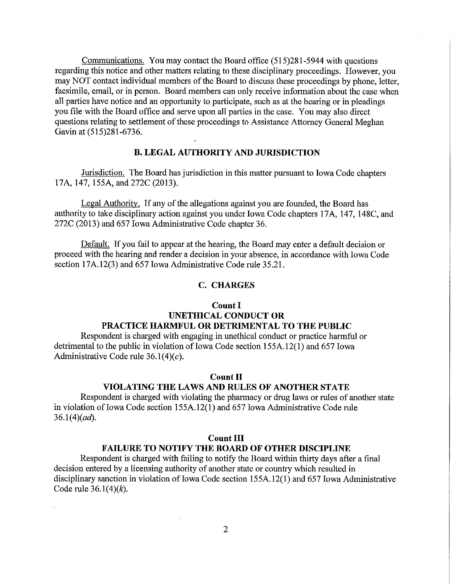Communications. You may contact the Board office (515)281-5944 with questions regarding this notice and other matters relating to these disciplinary proceedings. However, you may NOT contact individual members of the Board to discuss these proceedings by phone, letter, facsimile, email, or in person. Board members can only receive information about the case when all parties have notice and an opportunity to participate, such as at the hearing or in pleadings you file with the Board office and serve upon all parties in the case. You may also direct questions relating to settlement of these proceedings to Assistance Attorney General Meghan Gavin at (515)281-6736.

### **B. LEGAL AUTHORITY AND JURISDICTION**

Jurisdiction. The Board has jurisdiction in this matter pursuant to Iowa Code chapters 17A, 147, 155A, and 272C (2013).

Legal Authority. If any of the allegations against you are founded, the Board has authority to take disciplinary action against you under Iowa Code chapters 17A, 147, 148C, and 272C (2013) and 657 Iowa Administrative Code chapter 36.

Default. If you fail to appear at the hearing, the Board may enter a default decision or proceed with the hearing and render a decision in your absence, in accordance with Iowa Code section 17A.12(3) and 657 Iowa Administrative Code rule 35.21.

### **C. CHARGES**

#### **Count I**

# **UNETHICAL CONDUCT OR PRACTICE HARMFUL OR DETRIMENTAL TO THE PUBLIC**

Respondent is charged with engaging in unethical conduct or practice harmful or detrimental to the public in violation of Iowa Code section 155A.12(1) and 657 Iowa Administrative Code rule  $36.1(4)(c)$ .

### **Count II**

# **VIOLATING THE LAWS AND RULES OF ANOTHER STATE**

Respondent is charged with violating the pharmacy or drug laws or rules of another state in violation of Iowa Code section 155A.12(1) and 657 Iowa Administrative Code rule  $36.1(4)(ad)$ .

### **Count III**

# **FAILURE TO NOTIFY THE BOARD OF OTHER DISCIPLINE**

Respondent is charged with failing to notify the Board within thirty days after a final decision entered by a licensing authority of another state or country which resulted in disciplinary sanction in violation of Iowa Code section 155A.12(1) and 657 Iowa Administrative Code rule 36.1(4)(k).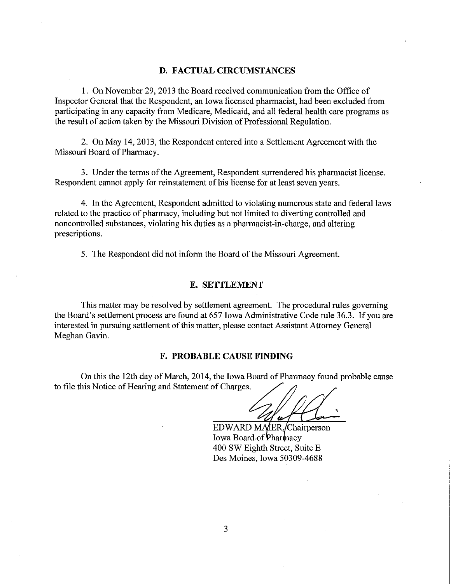#### **D. FACTUAL CIRCUMSTANCES**

1. On November 29, 2013 the Board received communication from the Office of Inspector General that the Respondent, an Iowa licensed pharmacist, had been excluded from participating in any capacity from Medicare, Medicaid, and all federal health care programs as the result of action taken by the Missouri Division of Professional Regulation.

2. On May 14, 2013, the Respondent entered into a Settlement Agreement with the Missouri Board of Pharmacy.

3. Under the terms of the Agreement, Respondent surrendered his pharmacist license. Respondent cannot apply for reinstatement of his license for at least seven years.

4. In the Agreement, Respondent admitted to violating numerous state and federal laws related to the practice of pharmacy, including but not limited to diverting controlled and noncontrolled substances, violating his duties as a pharmacist-in-charge, and altering prescriptions.

5. The Respondent did not inform the Board of the Missouri Agreement.

### **E. SETTLEMENT**

This matter may be resolved by settlement agreement. The procedural rules governing the Board's settlement process are found at 657 Iowa Administrative Code rule 36.3. If you are interested in pursuing settlement of this matter, please contact Assistant Attorney General Meghan Gavin.

#### **F. PROBABLE CAUSE FINDING**

On this the 12th day of March, 2014, the Iowa Board of Pharmacy found probable cause to file this Notice of Hearing and Statement of Charges.

' 'u

EDWARD MAIER, Chairperson Iowa Board of Pharmacy 400 SW Eighth Street, Suite E Des Moines, Iowa 50309-4688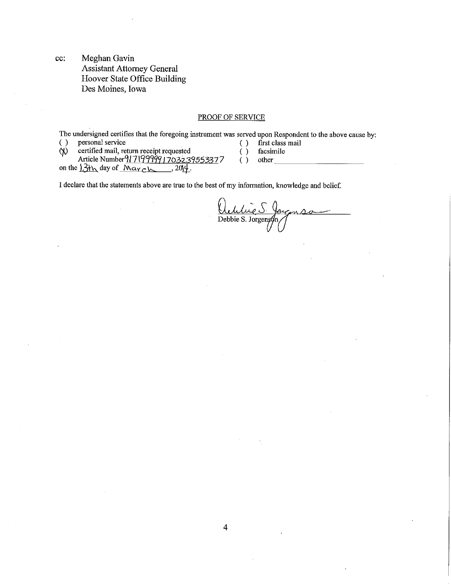cc: Meghan Gavin Assistant Attorney General Hoover State Office Building Des Moines, Iowa

#### PROOF OF SERVICE

The undersigned certifies that the foregoing instrument was served upon Respondent to the above cause by:

( ) personal service ( )  $\binom{1}{0}$ first class mail

 $\dot{\varphi}$ certified mail, return receipt requested Article Number 9171999991703239553377

on the  $13\text{th}$  day of March, ,  $201\frac{\mu}{\mu}$ .

- facsimile ( ) facsimile<br>( ) other  $\frac{1}{\sqrt{2\pi}}$ 
	-
- I declare that the statements above are true to the best of my information, knowledge and belief.

Ochlie S. Journse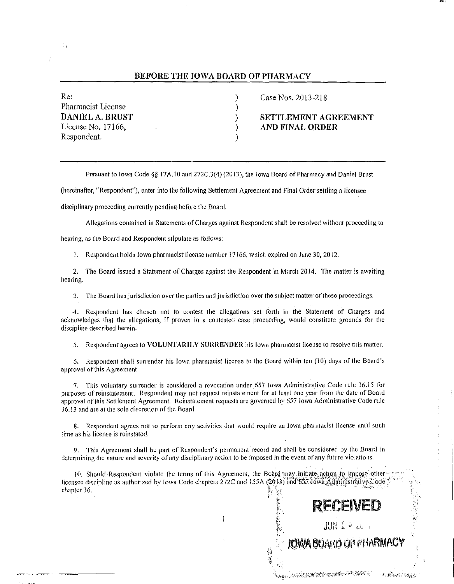#### BEFORE THE IOWA BOARD OF PHARMACY

| Re:                    |  |
|------------------------|--|
| Pharmacist License     |  |
| <b>DANIEL A. BRUST</b> |  |
| License No. 17166,     |  |
| Respondent.            |  |

Case Nos. 2013-218

) SETTLEMENT AGREEMENT ) AND FINAL ORDER

RECEIVED

 $JUNL^{\frac{1}{2}}$  is a

**IOWA BOAKD OF PHARM** 

LA CONTRACTOR DE LA CARDINALIZACIÓN DE CONTRACTOR DE

Pursuant to Iowa Code§§ 17A. IO and 272C.3(4) (2013), the Iowa Board of Pharmacy and Daniel Brust

(hereinafter, "Respondent"), enter into the following Settlement Agreement and Final Order settling a licensee

disciplinary proceeding currently pending before the Board.

Allegations contained in Statements of Charges against Respondent shall be resolved without proceeding to

hearing, as the Board and Respondent stipulate as follows:

I. Respondent holds Iowa pharmacist license number I 7166, which expired on June 30, 2012.

2. The Board issued a Statement of Charges against the Respondent in March 2014. The matter is awaiting hearing.

3. The Board has jurisdiction over the parties and jurisdiction over the subject matter of these proceedings.

4. Respondent has chosen not to contest the allegations set forth in the Statement of Charges and acknovvledges that the allegations, if proven in a contested case proceeding, would constitute grounds for the discipline described herein.

5. Respondent agrees to VOLUNTARILY SURRENDER his Iowa pharmacist license to resolve this matter.

6. Respondent shall surrender his Iowa pharmacist license to the Board within ten (10) days of the Board's approval of this Agreement.

7. This voluntary surrender is considered a revocation under 657 Iowa Administrative Code rule 36.15 for purposes of reinstatement. Respondent may not request reinstatement for at least one year from the date of Board approval of this Settlement Agreement. Reinstatement requests are governed by 657 lowa Administrative Code rule 36.13 and are at the sole discretion of the Board.

8. Respondent agrees not to perform any activities that would require an Iowa pharmacist license until such time as his license is reinstated.

9. This Agreement shall be part of Respondent's permanent record and shall be considered by the Board in determining the nature and severity of any disciplinary action to be imposed in the event of any future violations.

 $\mathbf{I}$ 

10. Should Respondent violate the terms of this Agreement, the Board may initiate action to impose other licensee discipline as authorized by Iowa Code chapters 272C and 155A (2013) and 657.Iowa.Administrative.Code<br>chapter 36. ;'·